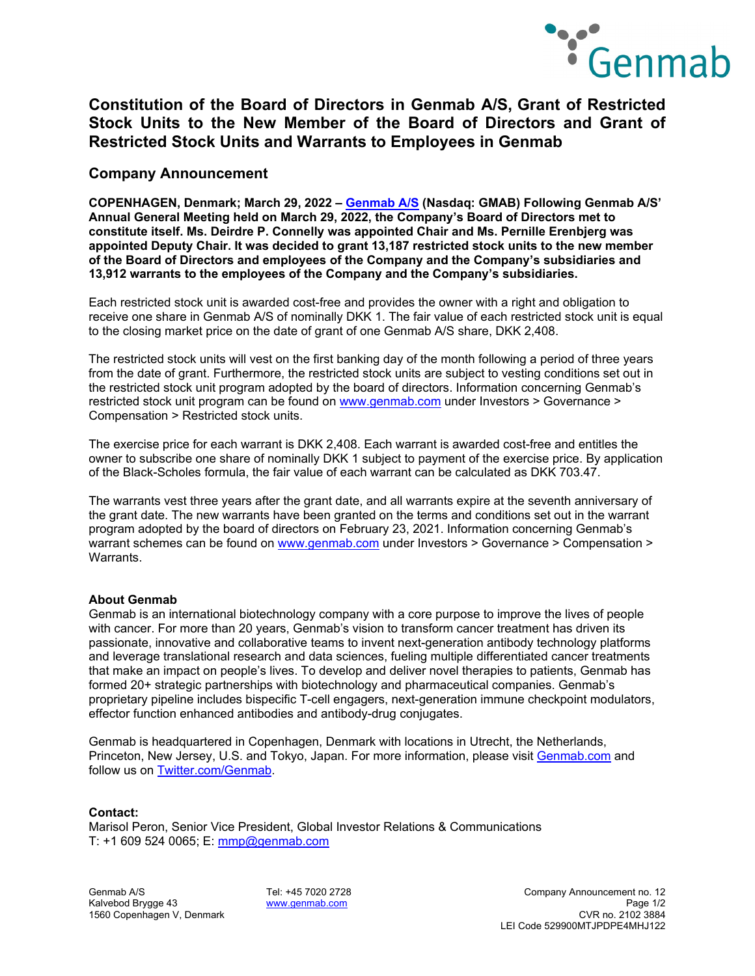

# **Constitution of the Board of Directors in Genmab A/S, Grant of Restricted Stock Units to the New Member of the Board of Directors and Grant of Restricted Stock Units and Warrants to Employees in Genmab**

### **Company Announcement**

**COPENHAGEN, Denmark; March 29, 2022 – [Genmab A/S](https://www.genmab.com/) (Nasdaq: GMAB) Following Genmab A/S' Annual General Meeting held on March 29, 2022, the Company's Board of Directors met to constitute itself. Ms. Deirdre P. Connelly was appointed Chair and Ms. Pernille Erenbjerg was appointed Deputy Chair. It was decided to grant 13,187 restricted stock units to the new member of the Board of Directors and employees of the Company and the Company's subsidiaries and 13,912 warrants to the employees of the Company and the Company's subsidiaries.**

Each restricted stock unit is awarded cost-free and provides the owner with a right and obligation to receive one share in Genmab A/S of nominally DKK 1. The fair value of each restricted stock unit is equal to the closing market price on the date of grant of one Genmab A/S share, DKK 2,408.

The restricted stock units will vest on the first banking day of the month following a period of three years from the date of grant. Furthermore, the restricted stock units are subject to vesting conditions set out in the restricted stock unit program adopted by the board of directors. Information concerning Genmab's restricted stock unit program can be found on [www.genmab.com](http://www.genmab.com/) under Investors > Governance > Compensation > Restricted stock units.

The exercise price for each warrant is DKK 2,408. Each warrant is awarded cost-free and entitles the owner to subscribe one share of nominally DKK 1 subject to payment of the exercise price. By application of the Black-Scholes formula, the fair value of each warrant can be calculated as DKK 703.47.

The warrants vest three years after the grant date, and all warrants expire at the seventh anniversary of the grant date. The new warrants have been granted on the terms and conditions set out in the warrant program adopted by the board of directors on February 23, 2021. Information concerning Genmab's warrant schemes can be found on [www.genmab.com](http://www.genmab.com/) under Investors > Governance > Compensation > Warrants.

### **About Genmab**

Genmab is an international biotechnology company with a core purpose to improve the lives of people with cancer. For more than 20 years, Genmab's vision to transform cancer treatment has driven its passionate, innovative and collaborative teams to invent next-generation antibody technology platforms and leverage translational research and data sciences, fueling multiple differentiated cancer treatments that make an impact on people's lives. To develop and deliver novel therapies to patients, Genmab has formed 20+ strategic partnerships with biotechnology and pharmaceutical companies. Genmab's proprietary pipeline includes bispecific T-cell engagers, next-generation immune checkpoint modulators, effector function enhanced antibodies and antibody-drug conjugates.

Genmab is headquartered in Copenhagen, Denmark with locations in Utrecht, the Netherlands, Princeton, New Jersey, U.S. and Tokyo, Japan. For more information, please visit [Genmab.com](https://www.genmab.com/) and follow us on [Twitter.com/Genmab.](https://twitter.com/Genmab)

### **Contact:**

Marisol Peron, Senior Vice President, Global Investor Relations & Communications T: +1 609 524 0065; E: [mmp@genmab.com](mailto:mmp@genmab.com)

1560 Copenhagen V, Denmark

Genmab A/S Tel: +45 7020 2728 Company Announcement no. 12 Kalvebod Brygge 43 [www.genmab.com](http://www.genmab.com/) Page 1/2 LEI Code 529900MTJPDPE4MHJ122